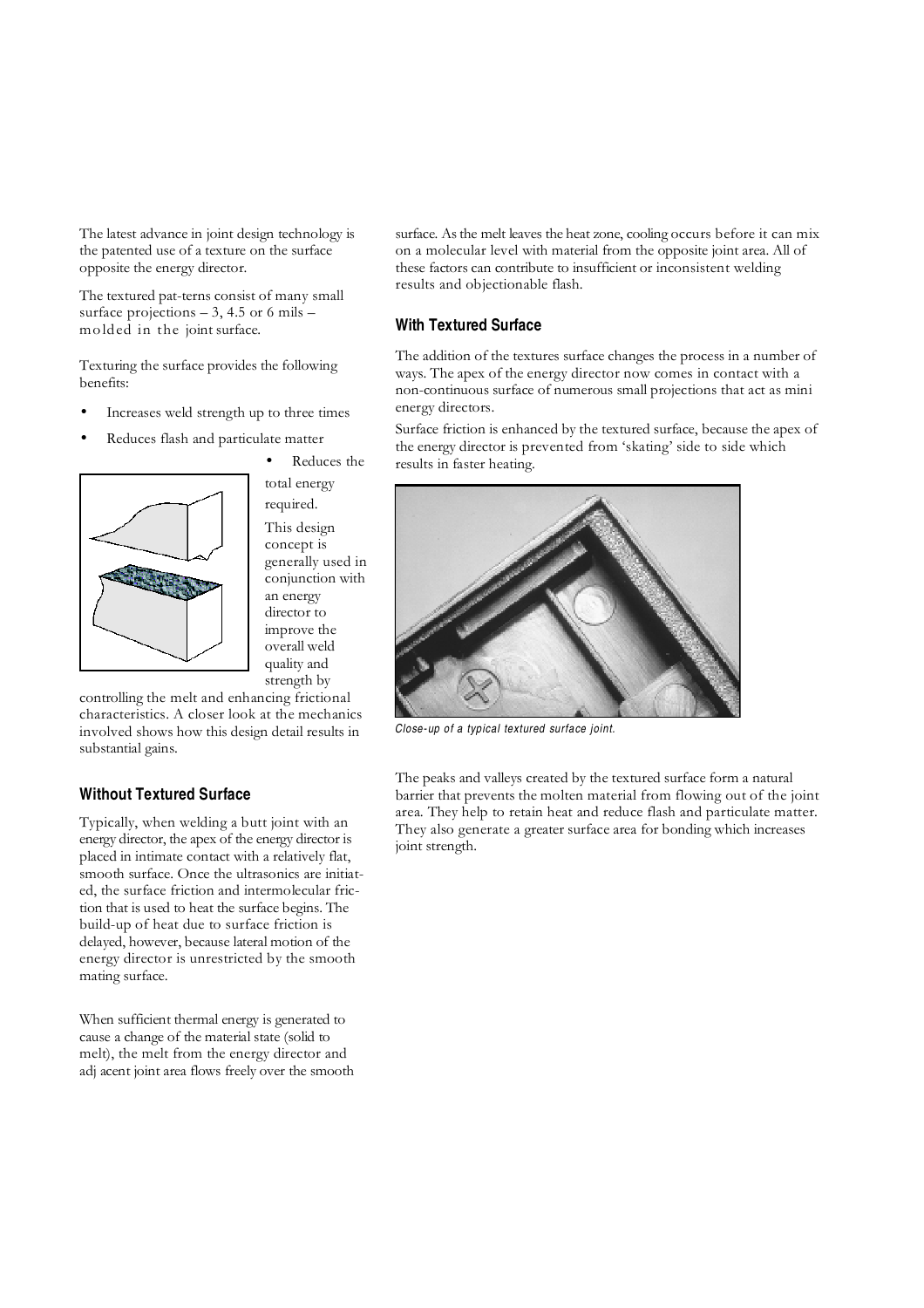The latest advance in joint design technology is the patented use of a texture on the surface opposite the energy director.

The textured pat-terns consist of many small surface projections  $-3$ , 4.5 or 6 mils  $$ mo lded in the joint surface.

Texturing the surface provides the following benefits:

- Increases weld strength up to three times
- Reduces flash and particulate matter



Reduces the total energy required. This design concept is generally used in conjunction with an energy director to improve the overall weld quality and strength by

controlling the melt and enhancing frictional characteristics. A closer look at the mechanics involved shows how this design detail results in substantial gains.

# **Without Textured Surface**

Typically, when welding a butt joint with an energy director, the apex of the energy director is placed in intimate contact with a relatively flat, smooth surface. Once the ultrasonics are initiated, the surface friction and intermolecular friction that is used to heat the surface begins. The build-up of heat due to surface friction is delayed, however, because lateral motion of the energy director is unrestricted by the smooth mating surface.

When sufficient thermal energy is generated to cause a change of the material state (solid to melt), the melt from the energy director and adj acent joint area flows freely over the smooth surface. As the melt leaves the heat zone, cooling occurs before it can mix on a molecular level with material from the opposite joint area. All of these factors can contribute to insufficient or inconsistent welding results and objectionable flash.

### **With Textured Surface**

The addition of the textures surface changes the process in a number of ways. The apex of the energy director now comes in contact with a non-continuous surface of numerous small projections that act as mini energy directors.

Surface friction is enhanced by the textured surface, because the apex of the energy director is prevented from 'skating' side to side which results in faster heating.



Close-up of a typical textured surface joint.

The peaks and valleys created by the textured surface form a natural barrier that prevents the molten material from flowing out of the joint area. They help to retain heat and reduce flash and particulate matter. They also generate a greater surface area for bonding which increases joint strength.